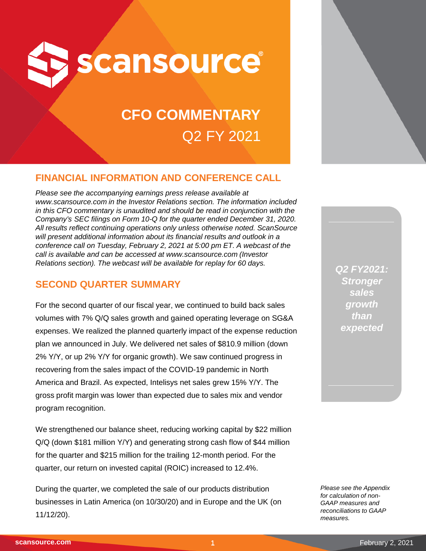

# **CFO COMMENTARY** Q2 FY 2021

## **FINANCIAL INFORMATION AND CONFERENCE CALL**

*Please see the accompanying earnings press release available at www.scansource.com in the Investor Relations section. The information included in this CFO commentary is unaudited and should be read in conjunction with the Company's SEC filings on Form 10-Q for the quarter ended December 31, 2020. All results reflect continuing operations only unless otherwise noted. ScanSource*  will present additional information about its financial results and outlook in a *conference call on Tuesday, February 2, 2021 at 5:00 pm ET. A webcast of the call is available and can be accessed at www.scansource.com (Investor Relations section). The webcast will be available for replay for 60 days.*

### **SECOND QUARTER SUMMARY**

For the second quarter of our fiscal year, we continued to build back sales volumes with 7% Q/Q sales growth and gained operating leverage on SG&A expenses. We realized the planned quarterly impact of the expense reduction plan we announced in July. We delivered net sales of \$810.9 million (down 2% Y/Y, or up 2% Y/Y for organic growth). We saw continued progress in recovering from the sales impact of the COVID-19 pandemic in North America and Brazil. As expected, Intelisys net sales grew 15% Y/Y. The gross profit margin was lower than expected due to sales mix and vendor program recognition.

We strengthened our balance sheet, reducing working capital by \$22 million Q/Q (down \$181 million Y/Y) and generating strong cash flow of \$44 million for the quarter and \$215 million for the trailing 12-month period. For the quarter, our return on invested capital (ROIC) increased to 12.4%.

During the quarter, we completed the sale of our products distribution businesses in Latin America (on 10/30/20) and in Europe and the UK (on 11/12/20).

*Q2 FY2021: Stronger sales growth than expected*

*Please see the Appendix for calculation of non-GAAP measures and reconciliations to GAAP measures.*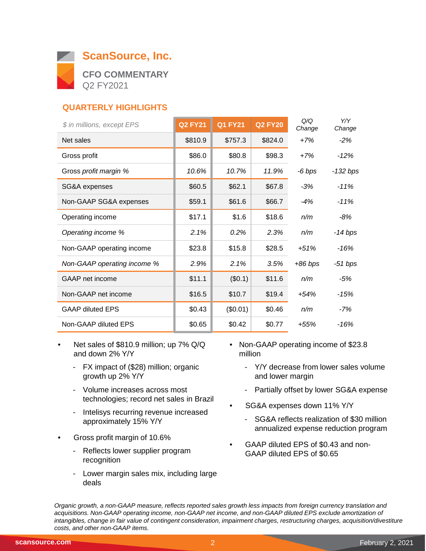

### **QUARTERLY HIGHLIGHTS**

| \$ in millions, except EPS  | <b>Q2 FY21</b> | <b>Q1 FY21</b> | <b>Q2 FY20</b> | Q/Q<br>Change | Y/Y<br>Change |
|-----------------------------|----------------|----------------|----------------|---------------|---------------|
| Net sales                   | \$810.9        | \$757.3        | \$824.0        | $+7%$         | $-2%$         |
| Gross profit                | \$86.0         | \$80.8         | \$98.3         | $+7%$         | $-12%$        |
| Gross profit margin %       | 10.6%          | 10.7%          | 11.9%          | -6 bps        | -132 bps      |
| SG&A expenses               | \$60.5         | \$62.1         | \$67.8         | $-3%$         | $-11%$        |
| Non-GAAP SG&A expenses      | \$59.1         | \$61.6         | \$66.7         | $-4%$         | $-11%$        |
| Operating income            | \$17.1         | \$1.6          | \$18.6         | n/m           | -8%           |
| Operating income %          | 2.1%           | 0.2%           | 2.3%           | n/m           | -14 bps       |
| Non-GAAP operating income   | \$23.8         | \$15.8         | \$28.5         | $+51%$        | -16%          |
| Non-GAAP operating income % | 2.9%           | 2.1%           | 3.5%           | $+86$ bps     | -51 bps       |
| GAAP net income             | \$11.1         | (\$0.1)        | \$11.6         | n/m           | -5%           |
| Non-GAAP net income         | \$16.5         | \$10.7         | \$19.4         | +54%          | -15%          |
| <b>GAAP diluted EPS</b>     | \$0.43         | (\$0.01)       | \$0.46         | n/m           | -7%           |
| Non-GAAP diluted EPS        | \$0.65         | \$0.42         | \$0.77         | +55%          | -16%          |

- Net sales of \$810.9 million; up 7% Q/Q and down 2% Y/Y
	- FX impact of (\$28) million; organic growth up 2% Y/Y
	- Volume increases across most technologies; record net sales in Brazil
	- Intelisys recurring revenue increased approximately 15% Y/Y
- Gross profit margin of 10.6%
	- Reflects lower supplier program recognition
	- Lower margin sales mix, including large deals
- Non-GAAP operating income of \$23.8 million
	- Y/Y decrease from lower sales volume and lower margin
	- Partially offset by lower SG&A expense
- SG&A expenses down 11% Y/Y
	- SG&A reflects realization of \$30 million annualized expense reduction program
- GAAP diluted EPS of \$0.43 and non-GAAP diluted EPS of \$0.65

*Organic growth, a non-GAAP measure, reflects reported sales growth less impacts from foreign currency translation and acquisitions. Non-GAAP operating income, non-GAAP net income, and non-GAAP diluted EPS exclude amortization of intangibles, change in fair value of contingent consideration, impairment charges, restructuring charges, acquisition/divestiture costs, and other non-GAAP items.*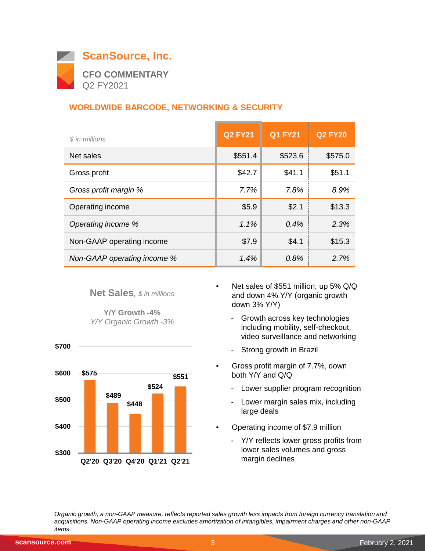

#### **WORLDWIDE BARCODE, NETWORKING & SECURITY**

| \$ in millions              | <b>Q2 FY21</b> | <b>Q1 FY21</b> | <b>Q2 FY20</b> |
|-----------------------------|----------------|----------------|----------------|
| Net sales                   | \$551.4        | \$523.6        | \$575.0        |
| Gross profit                | \$42.7         | \$41.1         | \$51.1         |
| Gross profit margin %       | 7.7%           | 7.8%           | 8.9%           |
| Operating income            | \$5.9          | \$2.1          | \$13.3         |
| Operating income %          | $1.1\%$        | $0.4\%$        | 2.3%           |
| Non-GAAP operating income   | \$7.9          | \$4.1          | \$15.3         |
| Non-GAAP operating income % | 1.4%           | 0.8%           | 2.7%           |

**Net Sales***, \$ in millions*

**Y/Y Growth -4%** *Y/Y Organic Growth -3%*



- Net sales of \$551 million; up 5% Q/Q and down 4% Y/Y (organic growth down 3% Y/Y)
	- Growth across key technologies including mobility, self-checkout, video surveillance and networking
	- Strong growth in Brazil
- Gross profit margin of 7.7%, down both Y/Y and Q/Q
	- Lower supplier program recognition
	- Lower margin sales mix, including large deals
- Operating income of \$7.9 million
	- Y/Y reflects lower gross profits from lower sales volumes and gross margin declines

*Organic growth, a non-GAAP measure, reflects reported sales growth less impacts from foreign currency translation and acquisitions. Non-GAAP operating income excludes amortization of intangibles, impairment charges and other non-GAAP items.*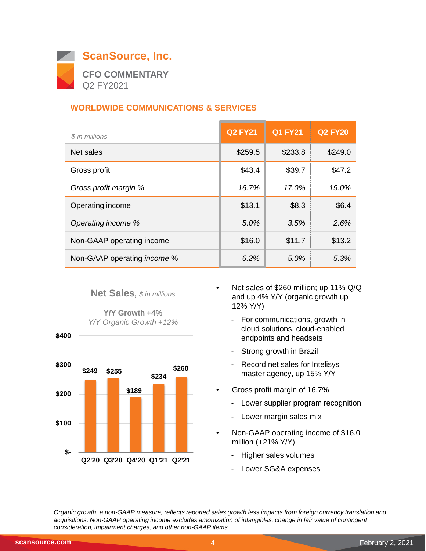

#### **WORLDWIDE COMMUNICATIONS & SERVICES**

| \$ in millions                     | <b>Q2 FY21</b> | <b>Q1 FY21</b> | <b>Q2 FY20</b> |
|------------------------------------|----------------|----------------|----------------|
| Net sales                          | \$259.5        | \$233.8        | \$249.0        |
| Gross profit                       | \$43.4         | \$39.7         | \$47.2         |
| Gross profit margin %              | 16.7%          | 17.0%          | 19.0%          |
| Operating income                   | \$13.1         | \$8.3          | \$6.4          |
| Operating income %                 | 5.0%           | 3.5%           | 2.6%           |
| Non-GAAP operating income          | \$16.0         | \$11.7         | \$13.2         |
| Non-GAAP operating <i>income</i> % | 6.2%           | 5.0%           | 5.3%           |

#### **Net Sales***, \$ in millions*

**Y/Y Growth +4%** *Y/Y Organic Growth +12%*



- Net sales of \$260 million; up 11% Q/Q and up 4% Y/Y (organic growth up 12% Y/Y)
	- For communications, growth in cloud solutions, cloud-enabled endpoints and headsets
	- Strong growth in Brazil
	- Record net sales for Intelisys master agency, up 15% Y/Y
- Gross profit margin of 16.7%
	- Lower supplier program recognition
	- Lower margin sales mix
- Non-GAAP operating income of \$16.0 million (+21% Y/Y)
	- Higher sales volumes
	- Lower SG&A expenses

*Organic growth, a non-GAAP measure, reflects reported sales growth less impacts from foreign currency translation and acquisitions. Non-GAAP operating income excludes amortization of intangibles, change in fair value of contingent consideration, impairment charges, and other non-GAAP items.*

 **\$400**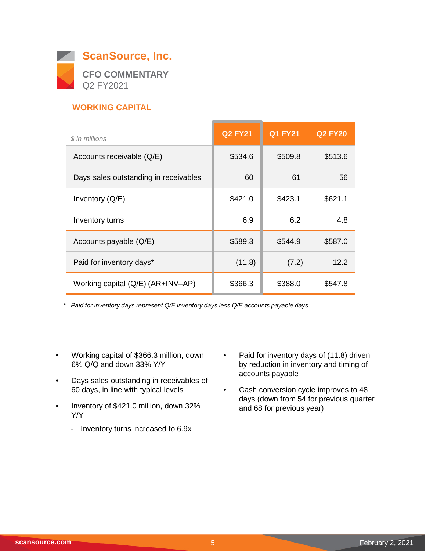

#### **WORKING CAPITAL**

| \$ in millions                        | <b>Q2 FY21</b> | <b>Q1 FY21</b> | <b>Q2 FY20</b> |
|---------------------------------------|----------------|----------------|----------------|
| Accounts receivable (Q/E)             | \$534.6        | \$509.8        | \$513.6        |
| Days sales outstanding in receivables | 60             | 61             | 56             |
| Inventory $(Q/E)$                     | \$421.0        | \$423.1        | \$621.1        |
| Inventory turns                       | 6.9            | 6.2            | 4.8            |
| Accounts payable (Q/E)                | \$589.3        | \$544.9        | \$587.0        |
| Paid for inventory days*              | (11.8)         | (7.2)          | 12.2           |
| Working capital (Q/E) (AR+INV-AP)     | \$366.3        | \$388.0        | \$547.8        |

*\* Paid for inventory days represent Q/E inventory days less Q/E accounts payable days*

- Working capital of \$366.3 million, down 6% Q/Q and down 33% Y/Y
- Days sales outstanding in receivables of 60 days, in line with typical levels
- Inventory of \$421.0 million, down 32% Y/Y
	- Inventory turns increased to 6.9x
- Paid for inventory days of (11.8) driven by reduction in inventory and timing of accounts payable
- Cash conversion cycle improves to 48 days (down from 54 for previous quarter and 68 for previous year)

 $\overline{\phantom{0}}$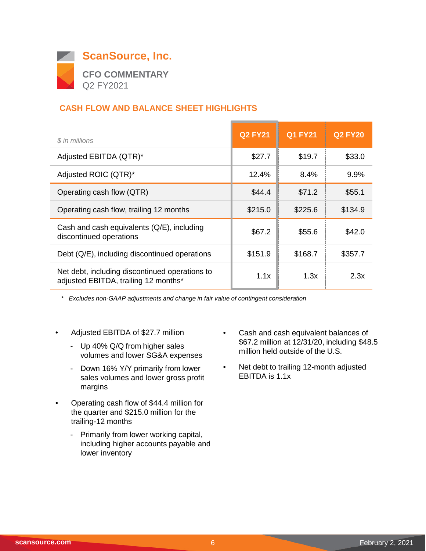

#### **CASH FLOW AND BALANCE SHEET HIGHLIGHTS**

| \$ in millions                                                                         | <b>Q2 FY21</b> | <b>Q1 FY21</b> | <b>Q2 FY20</b> |
|----------------------------------------------------------------------------------------|----------------|----------------|----------------|
| Adjusted EBITDA (QTR)*                                                                 | \$27.7         | \$19.7         | \$33.0         |
| Adjusted ROIC (QTR)*                                                                   | 12.4%          | 8.4%           | 9.9%           |
| Operating cash flow (QTR)                                                              | \$44.4         | \$71.2         | \$55.1         |
| Operating cash flow, trailing 12 months                                                | \$215.0        | \$225.6        | \$134.9        |
| Cash and cash equivalents (Q/E), including<br>discontinued operations                  | \$67.2         | \$55.6         | \$42.0         |
| Debt (Q/E), including discontinued operations                                          | \$151.9        | \$168.7        | \$357.7        |
| Net debt, including discontinued operations to<br>adjusted EBITDA, trailing 12 months* | 1.1x           | 1.3x           | 2.3x           |

*\* Excludes non-GAAP adjustments and change in fair value of contingent consideration*

- Adjusted EBITDA of \$27.7 million
	- Up 40% Q/Q from higher sales volumes and lower SG&A expenses
	- Down 16% Y/Y primarily from lower sales volumes and lower gross profit margins
- Operating cash flow of \$44.4 million for the quarter and \$215.0 million for the trailing-12 months
	- Primarily from lower working capital, including higher accounts payable and lower inventory
- Cash and cash equivalent balances of \$67.2 million at 12/31/20, including \$48.5 million held outside of the U.S.
- Net debt to trailing 12-month adjusted EBITDA is 1.1x

 $\overline{\phantom{0}}$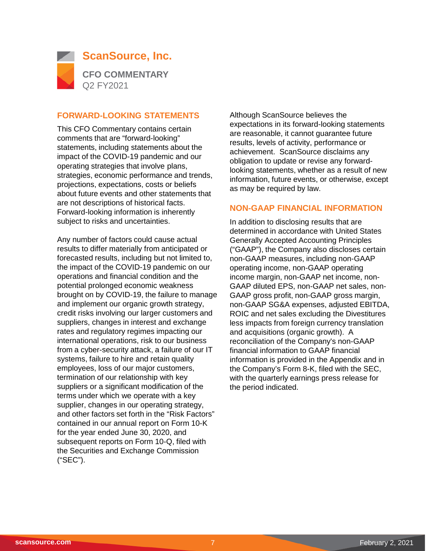

#### **FORWARD-LOOKING STATEMENTS**

This CFO Commentary contains certain comments that are "forward-looking" statements, including statements about the impact of the COVID-19 pandemic and our operating strategies that involve plans, strategies, economic performance and trends, projections, expectations, costs or beliefs about future events and other statements that are not descriptions of historical facts. Forward-looking information is inherently subject to risks and uncertainties.

Any number of factors could cause actual results to differ materially from anticipated or forecasted results, including but not limited to, the impact of the COVID-19 pandemic on our operations and financial condition and the potential prolonged economic weakness brought on by COVID-19, the failure to manage and implement our organic growth strategy, credit risks involving our larger customers and suppliers, changes in interest and exchange rates and regulatory regimes impacting our international operations, risk to our business from a cyber-security attack, a failure of our IT systems, failure to hire and retain quality employees, loss of our major customers, termination of our relationship with key suppliers or a significant modification of the terms under which we operate with a key supplier, changes in our operating strategy, and other factors set forth in the "Risk Factors" contained in our annual report on Form 10-K for the year ended June 30, 2020, and subsequent reports on Form 10-Q, filed with the Securities and Exchange Commission ("SEC").

Although ScanSource believes the expectations in its forward-looking statements are reasonable, it cannot guarantee future results, levels of activity, performance or achievement. ScanSource disclaims any obligation to update or revise any forwardlooking statements, whether as a result of new information, future events, or otherwise, except as may be required by law.

#### **NON-GAAP FINANCIAL INFORMATION**

In addition to disclosing results that are determined in accordance with United States Generally Accepted Accounting Principles ("GAAP"), the Company also discloses certain non-GAAP measures, including non-GAAP operating income, non-GAAP operating income margin, non-GAAP net income, non-GAAP diluted EPS, non-GAAP net sales, non-GAAP gross profit, non-GAAP gross margin, non-GAAP SG&A expenses, adjusted EBITDA, ROIC and net sales excluding the Divestitures less impacts from foreign currency translation and acquisitions (organic growth). A reconciliation of the Company's non-GAAP financial information to GAAP financial information is provided in the Appendix and in the Company's Form 8-K, filed with the SEC, with the quarterly earnings press release for the period indicated.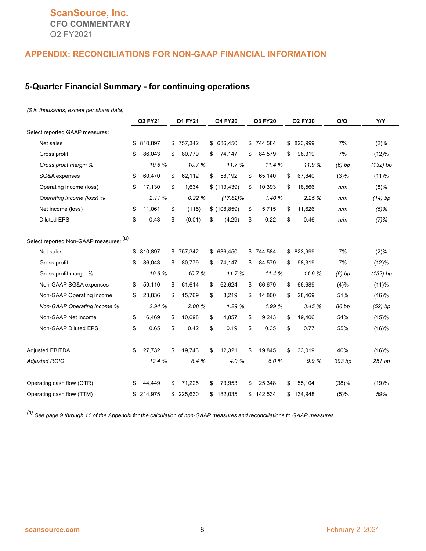#### **ScanSource, Inc. CFO COMMENTARY** Q2 FY2021

#### **APPENDIX: RECONCILIATIONS FOR NON-GAAP FINANCIAL INFORMATION**

#### **5-Quarter Financial Summary - for continuing operations**

#### *(\$ in thousands, except per share data)*

|                                        |    | Q2 FY21 | Q1 FY21       | Q4 FY20       | Q3 FY20      | Q2 FY20      | Q/Q      | Y/Y        |
|----------------------------------------|----|---------|---------------|---------------|--------------|--------------|----------|------------|
| Select reported GAAP measures:         |    |         |               |               |              |              |          |            |
| Net sales                              | \$ | 810,897 | \$<br>757,342 | \$ 636,450    | \$744,584    | \$ 823,999   | 7%       | (2)%       |
| Gross profit                           | \$ | 86,043  | \$<br>80,779  | \$<br>74,147  | \$<br>84,579 | \$<br>98,319 | 7%       | (12)%      |
| Gross profit margin %                  |    | 10.6%   | 10.7%         | 11.7 %        | 11.4 %       | 11.9 %       | $(6)$ bp | $(132)$ bp |
| SG&A expenses                          | \$ | 60,470  | \$<br>62,112  | \$<br>58,192  | \$<br>65,140 | \$<br>67,840 | (3)%     | (11)%      |
| Operating income (loss)                | \$ | 17,130  | \$<br>1,634   | \$(113, 439)  | \$<br>10,393 | \$<br>18,566 | n/m      | (8)%       |
| Operating income (loss) %              |    | 2.11%   | 0.22%         | $(17.82)\%$   | 1.40 %       | 2.25%        | n/m      | $(14)$ bp  |
| Net income (loss)                      | \$ | 11,061  | \$<br>(115)   | \$(108, 859)  | \$<br>5,715  | \$<br>11,626 | n/m      | $(5)\%$    |
| <b>Diluted EPS</b>                     | \$ | 0.43    | \$<br>(0.01)  | \$<br>(4.29)  | \$<br>0.22   | \$<br>0.46   | n/m      | (7)%       |
| Select reported Non-GAAP measures: (a) |    |         |               |               |              |              |          |            |
| Net sales                              | \$ | 810,897 | \$<br>757,342 | \$<br>636,450 | \$744,584    | \$ 823,999   | 7%       | (2)%       |
| Gross profit                           | \$ | 86,043  | \$<br>80,779  | \$<br>74,147  | \$<br>84,579 | \$<br>98,319 | 7%       | (12)%      |
| Gross profit margin %                  |    | 10.6%   | 10.7%         | 11.7%         | 11.4%        | 11.9 %       | $(6)$ bp | $(132)$ bp |
| Non-GAAP SG&A expenses                 | \$ | 59,110  | \$<br>61,614  | \$<br>62,624  | \$<br>66,679 | \$<br>66,689 | (4)%     | (11)%      |
| Non-GAAP Operating income              | \$ | 23,836  | \$<br>15,769  | \$<br>8,219   | \$<br>14,800 | \$<br>28,469 | 51%      | (16)%      |
| Non-GAAP Operating income %            |    | 2.94 %  | 2.08 %        | 1.29%         | 1.99 %       | 3.45%        | 86 bp    | $(52)$ bp  |
| Non-GAAP Net income                    | \$ | 16,469  | \$<br>10,698  | \$<br>4,857   | \$<br>9,243  | \$<br>19,406 | 54%      | (15)%      |
| Non-GAAP Diluted EPS                   | \$ | 0.65    | \$<br>0.42    | \$<br>0.19    | \$<br>0.35   | \$<br>0.77   | 55%      | (16)%      |
| <b>Adjusted EBITDA</b>                 | \$ | 27,732  | \$<br>19,743  | \$<br>12,321  | \$<br>19,845 | \$<br>33,019 | 40%      | (16)%      |
| <b>Adjusted ROIC</b>                   |    | 12.4%   | 8.4 %         | 4.0%          | 6.0%         | 9.9%         | 393 bp   | 251 bp     |
| Operating cash flow (QTR)              | S  | 44.449  | \$<br>71,225  | \$<br>73,953  | \$<br>25,348 | \$<br>55,104 | (38)%    | (19)%      |
| Operating cash flow (TTM)              | \$ | 214,975 | \$<br>225,630 | \$182,035     | \$142,534    | \$134,948    | (5)%     | 59%        |

*(a) See page 9 through 11 of the Appendix for the calculation of non-GAAP measures and reconciliations to GAAP measures.*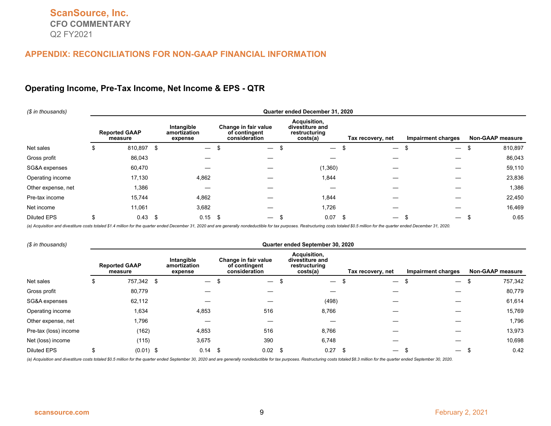#### **Operating Income, Pre-Tax Income, Net Income & EPS - QTR**

| (\$ in thousands)  | Quarter ended December 31, 2020 |                                 |      |                                       |  |                                                        |  |                                                              |  |                                      |                          |                         |         |
|--------------------|---------------------------------|---------------------------------|------|---------------------------------------|--|--------------------------------------------------------|--|--------------------------------------------------------------|--|--------------------------------------|--------------------------|-------------------------|---------|
|                    |                                 | <b>Reported GAAP</b><br>measure |      | Intangible<br>amortization<br>expense |  | Change in fair value<br>of contingent<br>consideration |  | Acquisition,<br>divestiture and<br>restructuring<br>costs(a) |  | Tax recovery, net                    | Impairment charges       | <b>Non-GAAP measure</b> |         |
| Net sales          | Ъ                               | 810,897                         | -\$  | $\overbrace{\phantom{12333}}$         |  | $\overline{\phantom{0}}$                               |  | $\hspace{0.1mm}-\hspace{0.1mm}$                              |  | $\overbrace{\phantom{12333}}$<br>J.  | $\overline{\phantom{0}}$ |                         | 810,897 |
| Gross profit       |                                 | 86,043                          |      |                                       |  |                                                        |  |                                                              |  |                                      |                          |                         | 86,043  |
| SG&A expenses      |                                 | 60,470                          |      |                                       |  |                                                        |  | (1,360)                                                      |  |                                      |                          |                         | 59,110  |
| Operating income   |                                 | 17,130                          |      | 4,862                                 |  |                                                        |  | 1,844                                                        |  |                                      |                          |                         | 23,836  |
| Other expense, net |                                 | 1,386                           |      | –                                     |  |                                                        |  |                                                              |  |                                      |                          |                         | 1,386   |
| Pre-tax income     |                                 | 15,744                          |      | 4,862                                 |  |                                                        |  | 1,844                                                        |  |                                      |                          |                         | 22,450  |
| Net income         |                                 | 11,061                          |      | 3,682                                 |  |                                                        |  | 1,726                                                        |  |                                      |                          |                         | 16,469  |
| <b>Diluted EPS</b> |                                 | 0.43                            | - \$ | $0.15$ \$                             |  |                                                        |  | 0.07                                                         |  | -\$<br>$\overbrace{\phantom{12333}}$ | $\overline{\phantom{0}}$ |                         | 0.65    |

(a) Acquisition and divestiture costs totaled \$1.4 million for the quarter ended December 31, 2020 and are generally nondeductible for tax purposes. Restructuring costs totaled \$0.5 million for the quarter ended December 3

| (\$ in thousands)     | Quarter ended September 30, 2020 |                                 |  |                                       |      |                                                        |      |                                                              |      |                          |                                |                         |  |
|-----------------------|----------------------------------|---------------------------------|--|---------------------------------------|------|--------------------------------------------------------|------|--------------------------------------------------------------|------|--------------------------|--------------------------------|-------------------------|--|
|                       |                                  | <b>Reported GAAP</b><br>measure |  | Intangible<br>amortization<br>expense |      | Change in fair value<br>of contingent<br>consideration |      | Acquisition,<br>divestiture and<br>restructuring<br>costs(a) |      | Tax recovery, net        | Impairment charges             | <b>Non-GAAP measure</b> |  |
| Net sales             | ა                                | 757,342 \$                      |  | $\overline{\phantom{m}}$              | S    | $\overline{\phantom{0}}$                               |      | $\overbrace{\phantom{12333}}$                                |      | $\overline{\phantom{m}}$ | $\overline{\phantom{0}}$<br>J. | 757,342                 |  |
| Gross profit          |                                  | 80,779                          |  |                                       |      |                                                        |      |                                                              |      |                          |                                | 80,779                  |  |
| SG&A expenses         |                                  | 62,112                          |  |                                       |      |                                                        |      | (498)                                                        |      |                          |                                | 61,614                  |  |
| Operating income      |                                  | 1,634                           |  | 4,853                                 |      | 516                                                    |      | 8,766                                                        |      |                          |                                | 15,769                  |  |
| Other expense, net    |                                  | 1,796                           |  |                                       |      |                                                        |      |                                                              |      |                          |                                | 1,796                   |  |
| Pre-tax (loss) income |                                  | (162)                           |  | 4,853                                 |      | 516                                                    |      | 8,766                                                        |      |                          |                                | 13,973                  |  |
| Net (loss) income     |                                  | (115)                           |  | 3,675                                 |      | 390                                                    |      | 6,748                                                        |      |                          |                                | 10,698                  |  |
| <b>Diluted EPS</b>    |                                  | $(0.01)$ \$                     |  | 0.14                                  | - \$ | 0.02                                                   | - \$ | 0.27                                                         | - \$ | $\overline{\phantom{m}}$ |                                | 0.42                    |  |

(a) Acquisition and divestiture costs totaled \$0.5 million for the quarter ended September 30, 2020 and are generally nondeductible for tax purposes. Restructuring costs totaled \$8.3 million for the quarter ended September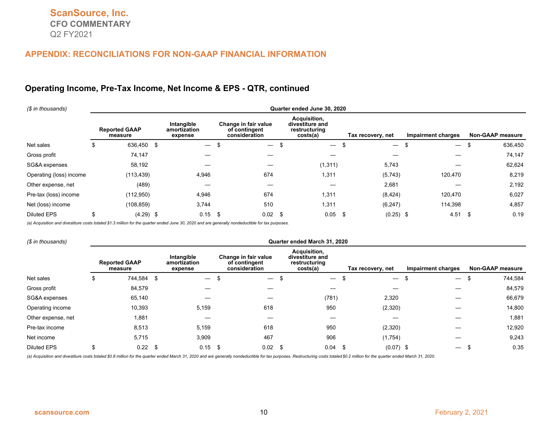#### **Operating Income, Pre-Tax Income, Net Income & EPS - QTR, continued**

| (\$ in thousands)       | Quarter ended June 30, 2020 |                                 |      |                                       |   |                                                        |     |                                                              |      |                          |                                |                         |  |
|-------------------------|-----------------------------|---------------------------------|------|---------------------------------------|---|--------------------------------------------------------|-----|--------------------------------------------------------------|------|--------------------------|--------------------------------|-------------------------|--|
|                         |                             | <b>Reported GAAP</b><br>measure |      | Intangible<br>amortization<br>expense |   | Change in fair value<br>of contingent<br>consideration |     | Acquisition,<br>divestiture and<br>restructuring<br>costs(a) |      | Tax recovery, net        | Impairment charges             | <b>Non-GAAP measure</b> |  |
| Net sales               | \$                          | 636,450                         | - \$ | $\overline{\phantom{0}}$              | £ | $\overline{\phantom{0}}$                               |     | $\overline{\phantom{0}}$                                     |      | $\overline{\phantom{m}}$ | \$<br>$\overline{\phantom{m}}$ | 636,450                 |  |
| Gross profit            |                             | 74,147                          |      |                                       |   |                                                        |     |                                                              |      |                          |                                | 74,147                  |  |
| SG&A expenses           |                             | 58,192                          |      |                                       |   |                                                        |     | (1, 311)                                                     |      | 5,743                    |                                | 62,624                  |  |
| Operating (loss) income |                             | (113, 439)                      |      | 4,946                                 |   | 674                                                    |     | 1,311                                                        |      | (5,743)                  | 120,470                        | 8,219                   |  |
| Other expense, net      |                             | (489)                           |      |                                       |   |                                                        |     |                                                              |      | 2,681                    |                                | 2,192                   |  |
| Pre-tax (loss) income   |                             | (112,950)                       |      | 4,946                                 |   | 674                                                    |     | 1,311                                                        |      | (8, 424)                 | 120,470                        | 6,027                   |  |
| Net (loss) income       |                             | (108, 859)                      |      | 3,744                                 |   | 510                                                    |     | 1,311                                                        |      | (6, 247)                 | 114,398                        | 4,857                   |  |
| <b>Diluted EPS</b>      | \$                          | $(4.29)$ \$                     |      | $0.15$ \$                             |   | 0.02                                                   | -\$ | 0.05                                                         | - \$ | $(0.25)$ \$              | 4.51                           | 0.19<br>-\$             |  |

*(a) Acquisition and divestiture costs totaled \$1.3 million for the quarter ended June 30, 2020 and are generally nondeductible for tax purposes.*

| (\$ in thousands)  | Quarter ended March 31, 2020 |                                 |      |                                       |    |                                                        |     |                                                              |      |                                         |                               |                         |  |
|--------------------|------------------------------|---------------------------------|------|---------------------------------------|----|--------------------------------------------------------|-----|--------------------------------------------------------------|------|-----------------------------------------|-------------------------------|-------------------------|--|
|                    |                              | <b>Reported GAAP</b><br>measure |      | Intangible<br>amortization<br>expense |    | Change in fair value<br>of contingent<br>consideration |     | Acquisition,<br>divestiture and<br>restructuring<br>costs(a) |      | Tax recovery, net                       | <b>Impairment charges</b>     | <b>Non-GAAP measure</b> |  |
| Net sales          | \$                           | 744,584                         | - \$ | $\overline{\phantom{m}}$              | \$ | $\overline{\phantom{m}}$                               | \$  | $\overbrace{\phantom{12333}}$                                |      | $\hspace{0.1mm}-\hspace{0.1mm}$<br>- 35 | S<br>$\overline{\phantom{0}}$ | 744,584                 |  |
| Gross profit       |                              | 84,579                          |      |                                       |    |                                                        |     |                                                              |      |                                         |                               | 84,579                  |  |
| SG&A expenses      |                              | 65,140                          |      |                                       |    |                                                        |     | (781)                                                        |      | 2,320                                   |                               | 66,679                  |  |
| Operating income   |                              | 10,393                          |      | 5,159                                 |    | 618                                                    |     | 950                                                          |      | (2,320)                                 |                               | 14,800                  |  |
| Other expense, net |                              | 1,881                           |      |                                       |    |                                                        |     |                                                              |      |                                         |                               | 1,881                   |  |
| Pre-tax income     |                              | 8,513                           |      | 5,159                                 |    | 618                                                    |     | 950                                                          |      | (2,320)                                 |                               | 12,920                  |  |
| Net income         |                              | 5,715                           |      | 3,909                                 |    | 467                                                    |     | 906                                                          |      | (1,754)                                 |                               | 9,243                   |  |
| <b>Diluted EPS</b> | \$                           | 0.22                            | - \$ | $0.15$ \$                             |    | 0.02                                                   | -\$ | 0.04                                                         | - \$ | $(0.07)$ \$                             | $\overline{\phantom{0}}$      | 0.35                    |  |

(a) Acquisition and divestiture costs totaled \$0.8 million for the quarter ended March 31, 2020 and are generally nondeductible for tax purposes. Restructuring costs totaled \$0.2 million for the quarter ended March 31, 202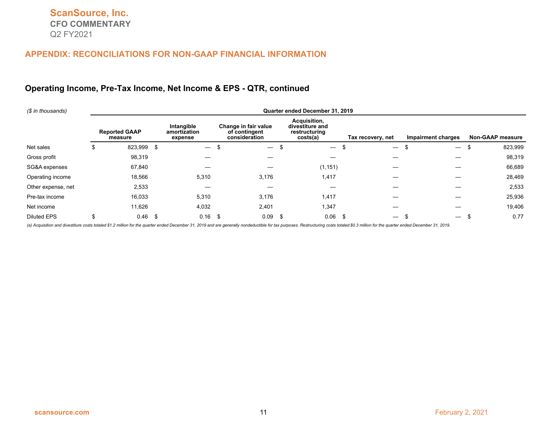#### **Operating Income, Pre-Tax Income, Net Income & EPS - QTR, continued**

| (\$ in thousands)  | Quarter ended December 31, 2019 |                                 |      |                                       |     |                                                        |    |                                                              |  |                          |                               |                         |
|--------------------|---------------------------------|---------------------------------|------|---------------------------------------|-----|--------------------------------------------------------|----|--------------------------------------------------------------|--|--------------------------|-------------------------------|-------------------------|
|                    |                                 | <b>Reported GAAP</b><br>measure |      | Intangible<br>amortization<br>expense |     | Change in fair value<br>of contingent<br>consideration |    | Acquisition,<br>divestiture and<br>restructuring<br>costs(a) |  | Tax recovery, net        | Impairment charges            | <b>Non-GAAP measure</b> |
| Net sales          | Φ                               | 823,999                         | - \$ | $\overline{\phantom{0}}$              | Ŀ   | $\overline{\phantom{m}}$                               |    | $\qquad \qquad -$                                            |  | $\overline{\phantom{0}}$ | £<br>$\overline{\phantom{m}}$ | 823,999<br>ა            |
| Gross profit       |                                 | 98,319                          |      |                                       |     |                                                        |    |                                                              |  |                          |                               | 98,319                  |
| SG&A expenses      |                                 | 67,840                          |      |                                       |     |                                                        |    | (1, 151)                                                     |  |                          |                               | 66,689                  |
| Operating income   |                                 | 18,566                          |      | 5,310                                 |     | 3,176                                                  |    | 1,417                                                        |  |                          |                               | 28,469                  |
| Other expense, net |                                 | 2,533                           |      | —                                     |     |                                                        |    |                                                              |  |                          |                               | 2,533                   |
| Pre-tax income     |                                 | 16,033                          |      | 5,310                                 |     | 3,176                                                  |    | 1,417                                                        |  |                          |                               | 25,936                  |
| Net income         |                                 | 11,626                          |      | 4,032                                 |     | 2,401                                                  |    | 347,،                                                        |  |                          |                               | 19,406                  |
| <b>Diluted EPS</b> |                                 | 0.46                            | -\$  | 0.16                                  | -\$ | 0.09                                                   | \$ | 0.06                                                         |  | - \$                     | $\overline{\phantom{m}}$      | 0.77                    |

(a) Acquisition and divestiture costs totaled \$1.2 million for the quarter ended December 31, 2019 and are generally nondeductible for tax purposes. Restructuring costs totaled \$0.3 million for the quarter ended December 3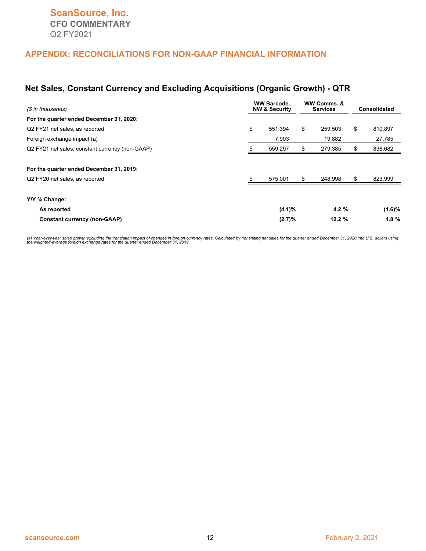#### **Net Sales, Constant Currency and Excluding Acquisitions (Organic Growth) - QTR**

| (\$ in thousands)                                                          | <b>WW Barcode,</b><br><b>NW &amp; Security</b> |         |    | WW Comms. &<br><b>Services</b> | <b>Consolidated</b> |         |  |
|----------------------------------------------------------------------------|------------------------------------------------|---------|----|--------------------------------|---------------------|---------|--|
| For the quarter ended December 31, 2020:                                   |                                                |         |    |                                |                     |         |  |
| Q2 FY21 net sales, as reported                                             | \$                                             | 551.394 | \$ | 259,503                        | \$                  | 810,897 |  |
| Foreign exchange impact (a)                                                |                                                | 7,903   |    | 19,882                         |                     | 27,785  |  |
| Q2 FY21 net sales, constant currency (non-GAAP)                            |                                                | 559,297 |    | 279,385                        | \$                  | 838,682 |  |
| For the quarter ended December 31, 2019:<br>Q2 FY20 net sales, as reported |                                                | 575,001 |    | 248,998                        | \$                  | 823,999 |  |
| Y/Y % Change:                                                              |                                                |         |    |                                |                     |         |  |
| As reported                                                                | (4.1)%                                         |         |    | 4.2 $%$                        |                     | (1.6)%  |  |
| <b>Constant currency (non-GAAP)</b>                                        |                                                | (2.7)%  |    | 12.2%                          |                     | 1.8%    |  |

(a) Year-over-year sales growth excluding the translation impact of changes in foreign currency rates. Calculated by translating net sales for the quarter ended December 31, 2020 into U.S. dollars using<br>the weighted-averag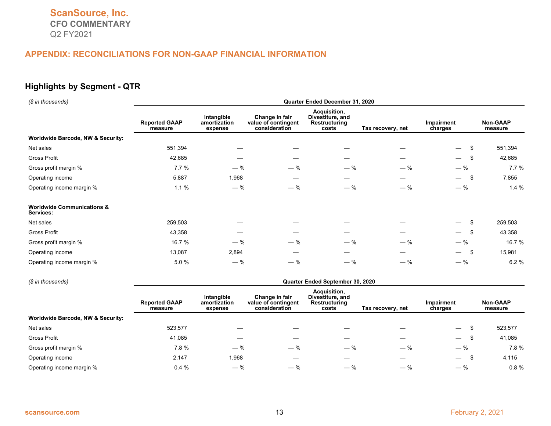#### **Highlights by Segment - QTR**

| (\$ in thousands)                                  | Quarter Ended December 31, 2020 |                                       |                                                        |                                                            |                   |                                      |                     |  |  |  |  |
|----------------------------------------------------|---------------------------------|---------------------------------------|--------------------------------------------------------|------------------------------------------------------------|-------------------|--------------------------------------|---------------------|--|--|--|--|
|                                                    | <b>Reported GAAP</b><br>measure | Intangible<br>amortization<br>expense | Change in fair<br>value of contingent<br>consideration | Acquisition,<br>Divestiture, and<br>Restructuring<br>costs | Tax recovery, net | Impairment<br>charges                | Non-GAAP<br>measure |  |  |  |  |
| <b>Worldwide Barcode, NW &amp; Security:</b>       |                                 |                                       |                                                        |                                                            |                   |                                      |                     |  |  |  |  |
| Net sales                                          | 551,394                         |                                       |                                                        |                                                            |                   | \$<br>$\overline{\phantom{0}}$       | 551,394             |  |  |  |  |
| Gross Profit                                       | 42,685                          |                                       |                                                        |                                                            |                   | \$<br>$\overline{\phantom{0}}$       | 42,685              |  |  |  |  |
| Gross profit margin %                              | 7.7%                            | $-$ %                                 | $-$ %                                                  | $-$ %                                                      | $-$ %             | $-$ %                                | 7.7%                |  |  |  |  |
| Operating income                                   | 5,887                           | 1,968                                 |                                                        | –                                                          |                   | -\$<br>$\overline{\phantom{0}}$      | 7,855               |  |  |  |  |
| Operating income margin %                          | 1.1%                            | $-$ %                                 | $-$ %                                                  | $-$ %                                                      | $-$ %             | $-$ %                                | 1.4%                |  |  |  |  |
| <b>Worldwide Communications &amp;</b><br>Services: |                                 |                                       |                                                        |                                                            |                   |                                      |                     |  |  |  |  |
| Net sales                                          | 259,503                         |                                       |                                                        |                                                            |                   | \$<br>$\overline{\phantom{0}}$       | 259,503             |  |  |  |  |
| Gross Profit                                       | 43,358                          |                                       |                                                        |                                                            |                   | -\$<br>$\overline{\phantom{0}}$      | 43,358              |  |  |  |  |
| Gross profit margin %                              | 16.7 %                          | $-$ %                                 | $-$ %                                                  | $-$ %                                                      | $-$ %             | $-$ %                                | 16.7 %              |  |  |  |  |
| Operating income                                   | 13,087                          | 2,894                                 |                                                        |                                                            |                   | -\$<br>$\overbrace{\phantom{13333}}$ | 15,981              |  |  |  |  |
| Operating income margin %                          | 5.0 %                           | $-$ %                                 | $-$ %                                                  | $-$ %                                                      | $-$ %             | $-$ %                                | 6.2%                |  |  |  |  |

#### *(\$ in thousands)* **Quarter Ended September 30, 2020 Reported GAAP measure Intangible amortization expense Change in fair value of contingent consideration Acquisition, Divestiture, and Restructuring costs Tax recovery, net Impairment charges Non-GAAP measure Worldwide Barcode, NW & Security:** Net sales 523,577 — — — — — \$ 523,577 Gross Profit 41,085 — — — — — \$ 41,085 Gross profit margin % 1.8 % 7.8 %  $-$  %  $-$  %  $-$  %  $-$  %  $-$  %  $-$  %  $-$  %  $-$  7.8 % Operating income 2,147 1,968 — — — — \$ 4,115 Operating income margin % 0.4 % 0.4 %  $-$  %  $-$  %  $-$  %  $-$  %  $-$  %  $-$  % 0.8 %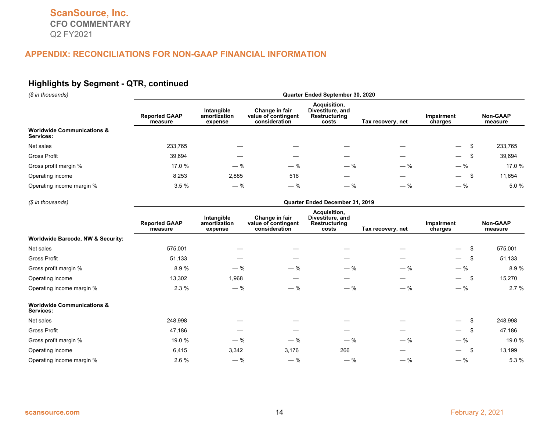#### **Highlights by Segment - QTR, continued**

*(\$ in thousands)* **Quarter Ended September 30, 2020**

| $\psi$ in anoughnus                                | <b>GUATION LINGG OCPIGINATION, LULU</b> |                                       |                                                        |                                                            |                   |                                |                            |  |  |  |  |
|----------------------------------------------------|-----------------------------------------|---------------------------------------|--------------------------------------------------------|------------------------------------------------------------|-------------------|--------------------------------|----------------------------|--|--|--|--|
|                                                    | <b>Reported GAAP</b><br>measure         | Intangible<br>amortization<br>expense | Change in fair<br>value of contingent<br>consideration | Acquisition,<br>Divestiture, and<br>Restructuring<br>costs | Tax recovery, net | Impairment<br>charges          | <b>Non-GAAP</b><br>measure |  |  |  |  |
| <b>Worldwide Communications &amp;</b><br>Services: |                                         |                                       |                                                        |                                                            |                   |                                |                            |  |  |  |  |
| Net sales                                          | 233.765                                 |                                       |                                                        |                                                            |                   | $\overline{\phantom{0}}$       | 233,765                    |  |  |  |  |
| Gross Profit                                       | 39,694                                  |                                       |                                                        |                                                            |                   | $\overline{\phantom{0}}$       | 39,694                     |  |  |  |  |
| Gross profit margin %                              | 17.0 %                                  | $-$ %                                 | $-$ %                                                  | $-$ %                                                      | $-$ %             | $-$ %                          | 17.0 %                     |  |  |  |  |
| Operating income                                   | 8,253                                   | 2,885                                 | 516                                                    |                                                            |                   | $\overline{\phantom{0}}$<br>.১ | 11,654                     |  |  |  |  |
| Operating income margin %                          | 3.5%                                    | $-$ %                                 | $-$ %                                                  | $-$ %                                                      | $-$ %             | $-$ %                          | 5.0 %                      |  |  |  |  |
|                                                    |                                         |                                       |                                                        |                                                            |                   |                                |                            |  |  |  |  |

*(\$ in thousands)* **Quarter Ended December 31, 2019**

|                                                    | <b>Reported GAAP</b><br>measure | Intangible<br>amortization<br>expense | Change in fair<br>value of contingent<br>consideration | Acquisition,<br>Divestiture, and<br>Restructuring<br>costs | Tax recovery, net | Impairment<br>charges           | Non-GAAP<br>measure |
|----------------------------------------------------|---------------------------------|---------------------------------------|--------------------------------------------------------|------------------------------------------------------------|-------------------|---------------------------------|---------------------|
| Worldwide Barcode, NW & Security:                  |                                 |                                       |                                                        |                                                            |                   |                                 |                     |
| Net sales                                          | 575,001                         |                                       |                                                        |                                                            |                   | \$<br>$\overline{\phantom{a}}$  | 575,001             |
| Gross Profit                                       | 51,133                          |                                       |                                                        |                                                            | —                 | \$<br>$\overline{\phantom{0}}$  | 51,133              |
| Gross profit margin %                              | 8.9 %                           | $-$ %                                 | $-$ %                                                  | $-$ %                                                      | $-$ %             | $-$ %                           | 8.9 %               |
| Operating income                                   | 13,302                          | 1,968                                 |                                                        |                                                            |                   | \$<br>$\overline{\phantom{0}}$  | 15,270              |
| Operating income margin %                          | 2.3%                            | $-$ %                                 | $-$ %                                                  | $-$ %                                                      | $-$ %             | $-$ %                           | 2.7%                |
| <b>Worldwide Communications &amp;</b><br>Services: |                                 |                                       |                                                        |                                                            |                   |                                 |                     |
| Net sales                                          | 248,998                         |                                       |                                                        |                                                            |                   | \$<br>$\overline{\phantom{0}}$  | 248,998             |
| Gross Profit                                       | 47,186                          |                                       |                                                        |                                                            |                   | \$<br>$\overline{\phantom{0}}$  | 47,186              |
| Gross profit margin %                              | 19.0 %                          | $-$ %                                 | $-$ %                                                  | $-$ %                                                      | $-$ %             | $-$ %                           | 19.0 %              |
| Operating income                                   | 6,415                           | 3,342                                 | 3,176                                                  | 266                                                        |                   | -\$<br>$\overline{\phantom{0}}$ | 13,199              |
| Operating income margin %                          | 2.6%                            | $-$ %                                 | $-$ %                                                  | $-$ %                                                      | $-$ %             | $-$ %                           | 5.3 %               |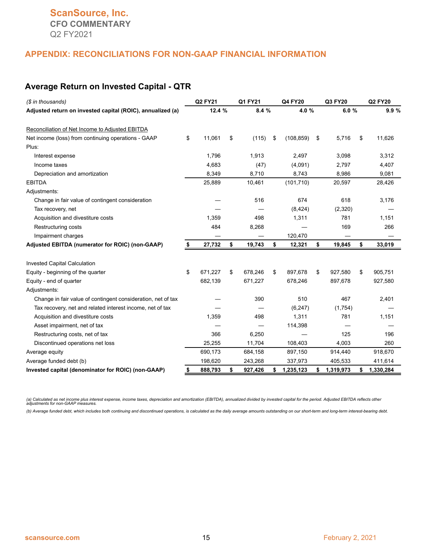#### **Average Return on Invested Capital - QTR**

| (\$ in thousands)                                            |    | Q2 FY21 |    | Q1 FY21 |    | Q4 FY20    |    | Q3 FY20   |    | <b>Q2 FY20</b> |
|--------------------------------------------------------------|----|---------|----|---------|----|------------|----|-----------|----|----------------|
| Adjusted return on invested capital (ROIC), annualized (a)   |    | 12.4 %  |    | 8.4 %   |    | 4.0%       |    | 6.0%      |    | 9.9%           |
| Reconciliation of Net Income to Adjusted EBITDA              |    |         |    |         |    |            |    |           |    |                |
| Net income (loss) from continuing operations - GAAP          | \$ | 11,061  | \$ | (115)   | \$ | (108, 859) | \$ | 5,716     | \$ | 11,626         |
| Plus:                                                        |    |         |    |         |    |            |    |           |    |                |
| Interest expense                                             |    | 1,796   |    | 1,913   |    | 2,497      |    | 3,098     |    | 3,312          |
| Income taxes                                                 |    | 4,683   |    | (47)    |    | (4,091)    |    | 2,797     |    | 4,407          |
| Depreciation and amortization                                |    | 8,349   |    | 8,710   |    | 8,743      |    | 8,986     |    | 9,081          |
| <b>EBITDA</b>                                                |    | 25,889  |    | 10,461  |    | (101, 710) |    | 20,597    |    | 28,426         |
| Adjustments:                                                 |    |         |    |         |    |            |    |           |    |                |
| Change in fair value of contingent consideration             |    |         |    | 516     |    | 674        |    | 618       |    | 3,176          |
| Tax recovery, net                                            |    |         |    |         |    | (8, 424)   |    | (2,320)   |    |                |
| Acquisition and divestiture costs                            |    | 1,359   |    | 498     |    | 1,311      |    | 781       |    | 1,151          |
| Restructuring costs                                          |    | 484     |    | 8,268   |    |            |    | 169       |    | 266            |
| Impairment charges                                           |    |         |    |         |    | 120,470    |    |           |    |                |
| Adjusted EBITDA (numerator for ROIC) (non-GAAP)              | \$ | 27,732  | \$ | 19,743  | \$ | 12,321     | \$ | 19,845    | \$ | 33,019         |
| <b>Invested Capital Calculation</b>                          |    |         |    |         |    |            |    |           |    |                |
| Equity - beginning of the quarter                            | \$ | 671.227 | \$ | 678.246 | \$ | 897.678    | \$ | 927,580   | \$ | 905,751        |
| Equity - end of quarter                                      |    | 682,139 |    | 671,227 |    | 678,246    |    | 897,678   |    | 927,580        |
| Adjustments:                                                 |    |         |    |         |    |            |    |           |    |                |
| Change in fair value of contingent consideration, net of tax |    |         |    | 390     |    | 510        |    | 467       |    | 2,401          |
| Tax recovery, net and related interest income, net of tax    |    |         |    |         |    | (6, 247)   |    | (1,754)   |    |                |
| Acquisition and divestiture costs                            |    | 1,359   |    | 498     |    | 1,311      |    | 781       |    | 1,151          |
| Asset impairment, net of tax                                 |    |         |    |         |    | 114,398    |    |           |    |                |
| Restructuring costs, net of tax                              |    | 366     |    | 6,250   |    |            |    | 125       |    | 196            |
| Discontinued operations net loss                             |    | 25,255  |    | 11,704  |    | 108,403    |    | 4,003     |    | 260            |
| Average equity                                               |    | 690,173 |    | 684,158 |    | 897,150    |    | 914,440   |    | 918,670        |
| Average funded debt (b)                                      |    | 198,620 |    | 243,268 |    | 337,973    |    | 405,533   |    | 411,614        |
| Invested capital (denominator for ROIC) (non-GAAP)           | \$ | 888,793 | \$ | 927,426 | \$ | 1,235,123  | \$ | 1,319,973 | \$ | 1,330,284      |

(a) Calculated as net income plus interest expense, income taxes, depreciation and amortization (EBITDA), annualized divided by invested capital for the period. Adjusted EBITDA reflects other<br>adjustments for non-GAAP measu

*(b) Average funded debt, which includes both continuing and discontinued operations, is calculated as the daily average amounts outstanding on our short-term and long-term interest-bearing debt.*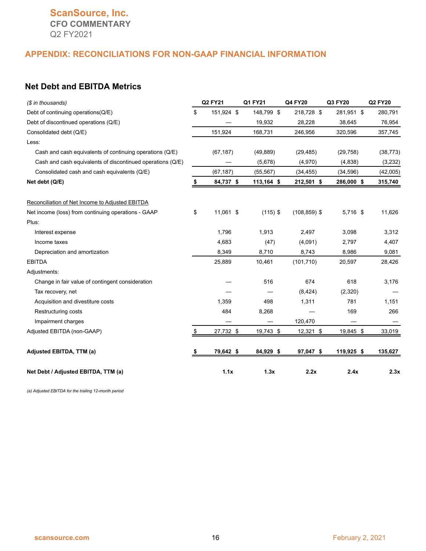### **ScanSource, Inc. CFO COMMENTARY** Q2 FY2021

#### **APPENDIX: RECONCILIATIONS FOR NON-GAAP FINANCIAL INFORMATION**

#### **Net Debt and EBITDA Metrics**

| (\$ in thousands)                                          | <b>Q2 FY21</b>   | Q1 FY21    | Q4 FY20         | Q3 FY20    | <b>Q2 FY20</b> |
|------------------------------------------------------------|------------------|------------|-----------------|------------|----------------|
| Debt of continuing operations(Q/E)                         | \$<br>151,924 \$ | 148,799 \$ | 218,728 \$      | 281,951 \$ | 280,791        |
| Debt of discontinued operations (Q/E)                      |                  | 19,932     | 28,228          | 38,645     | 76,954         |
| Consolidated debt (Q/E)                                    | 151,924          | 168,731    | 246,956         | 320,596    | 357,745        |
| Less:                                                      |                  |            |                 |            |                |
| Cash and cash equivalents of continuing operations (Q/E)   | (67, 187)        | (49, 889)  | (29, 485)       | (29, 758)  | (38, 773)      |
| Cash and cash equivalents of discontinued operations (Q/E) |                  | (5,678)    | (4,970)         | (4,838)    | (3,232)        |
| Consolidated cash and cash equivalents (Q/E)               | (67, 187)        | (55, 567)  | (34, 455)       | (34, 596)  | (42,005)       |
| Net debt (Q/E)                                             | 84,737 \$        | 113,164 \$ | 212,501 \$      | 286,000 \$ | 315,740        |
| Reconciliation of Net Income to Adjusted EBITDA            |                  |            |                 |            |                |
| Net income (loss) from continuing operations - GAAP        | \$<br>11,061 \$  | $(115)$ \$ | $(108, 859)$ \$ | 5,716 \$   | 11,626         |
| Plus:                                                      |                  |            |                 |            |                |
| Interest expense                                           | 1,796            | 1,913      | 2,497           | 3,098      | 3,312          |
| Income taxes                                               | 4,683            | (47)       | (4,091)         | 2,797      | 4,407          |
| Depreciation and amortization                              | 8,349            | 8,710      | 8,743           | 8,986      | 9,081          |
| <b>EBITDA</b>                                              | 25,889           | 10,461     | (101, 710)      | 20,597     | 28,426         |
| Adjustments:                                               |                  |            |                 |            |                |
| Change in fair value of contingent consideration           |                  | 516        | 674             | 618        | 3,176          |
| Tax recovery, net                                          |                  |            | (8, 424)        | (2,320)    |                |
| Acquisition and divestiture costs                          | 1,359            | 498        | 1,311           | 781        | 1,151          |
| Restructuring costs                                        | 484              | 8,268      |                 | 169        | 266            |
| Impairment charges                                         |                  |            | 120,470         |            |                |
| Adjusted EBITDA (non-GAAP)                                 | \$<br>27,732 \$  | 19,743 \$  | 12,321 \$       | 19,845 \$  | 33,019         |
| Adjusted EBITDA, TTM (a)                                   | 79,642 \$        | 84,929 \$  | 97,047 \$       | 119,925 \$ | 135,627        |
| Net Debt / Adjusted EBITDA, TTM (a)                        | 1.1x             | 1.3x       | 2.2x            | 2.4x       | 2.3x           |

*(a) Adjusted EBITDA for the trailing 12-month period*